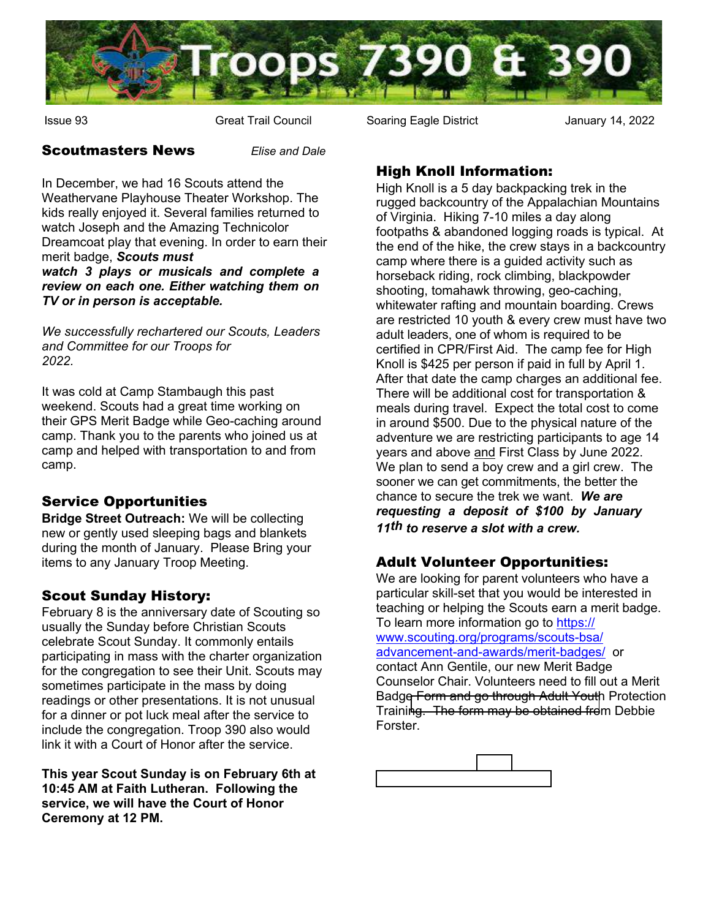

Issue 93 Great Trail Council Soaring Eagle District January 14, 2022

#### Scoutmasters News *Elise and Dale*

In December, we had 16 Scouts attend the Weathervane Playhouse Theater Workshop. The kids really enjoyed it. Several families returned to watch Joseph and the Amazing Technicolor Dreamcoat play that evening. In order to earn their merit badge, *Scouts must*

*watch 3 plays or musicals and complete a review on each one. Either watching them on TV or in person is acceptable.*

*We successfully rechartered our Scouts, Leaders and Committee for our Troops for 2022.*

It was cold at Camp Stambaugh this past weekend. Scouts had a great time working on their GPS Merit Badge while Geo-caching around [camp. Thank you to the](https://my.scouting.org/) parents who joined us at camp and helped with transportation to and from camp.

## Service Opportunities

**Bridge Street Outreach:** We will be collecting new or gently used sleeping bags and blankets during the month of January. Please Bring your items to any January Troop Meeting.

## Scout Sunday History:

February 8 is the anniversary date of Scouting so usually the Sunday before Christian Scouts celebrate Scout Sunday. It commonly entails participating in mass with the charter organization for the congregation to see their Unit. Scouts may sometimes participate in the mass by doing readings or other presentations. It is not unusual for a dinner or pot luck meal after the service to include the congregation. Troop 390 also would link it with a Court of Honor after the service.

**This year Scout Sunday is on February 6th at 10:45 AM at Faith Lutheran. Following the service, we will have the Court of Honor Ceremony at 12 PM.**

# High Knoll Information:

High Knoll is a 5 day backpacking trek in the rugged backcountry of the Appalachian Mountains of Virginia. Hiking 7-10 miles a day along footpaths & abandoned logging roads is typical. At the end of the hike, the crew stays in a backcountry camp where there is a guided activity such as horseback riding, rock climbing, blackpowder shooting, tomahawk throwing, geo-caching, whitewater rafting and mountain boarding. Crews are restricted 10 youth & every crew must have two adult leaders, one of whom is required to be certified in CPR/First Aid. The camp fee for High Knoll is \$425 per person if paid in full by April 1. After that date the camp charges an additional fee. There will be additional cost for transportation & meals during travel. Expect the total cost to come in around \$500. Due to the physical nature of the adventure we are restricting participants to age 14 years and above and First Class by June 2022. We plan to send a boy crew and a girl crew. The sooner we can get commitments, the better the chance to secure the trek we want. *We are requesting a deposit of \$100 by January 11th to reserve a slot with a crew.*

## Adult Volunteer Opportunities:

We are looking for parent volunteers who have a particular skill-set that you would be interested in teaching or helping the Scouts earn a merit badge. To learn more information go to https:// www.scouting.org/programs/scouts-bsa/ advancement-and-awards/merit-badges/ or contact Ann Gentile, our new Merit Badge Counselor Chair. Volunteers need to fill out a Merit Badg[e Form and go through Adult Youth](https://www.boyscouttrail.com/) Protection Training. The form may be obtained from Debbie Forster.